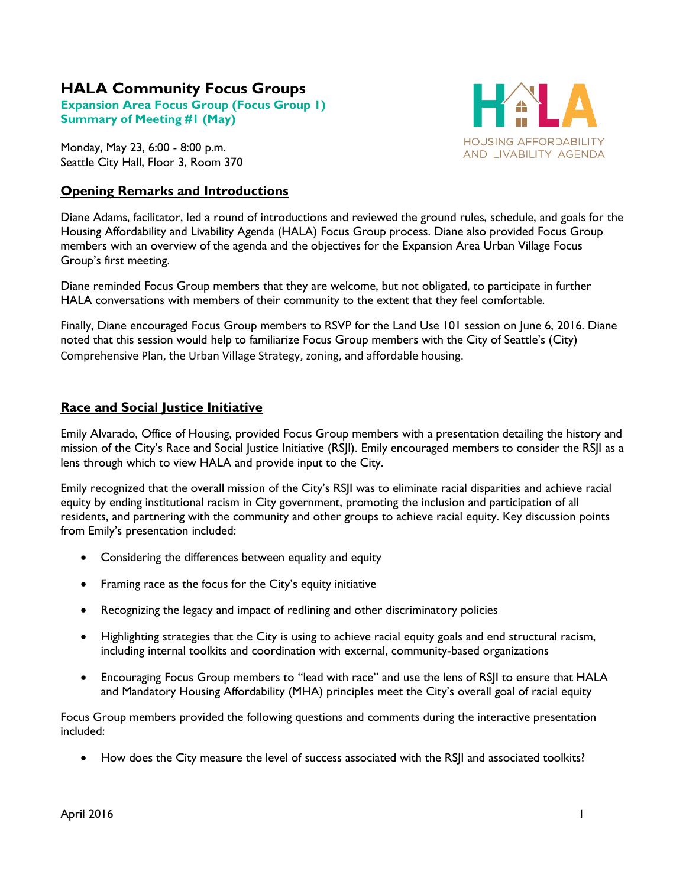# **HALA Community Focus Groups**

**Expansion Area Focus Group (Focus Group 1) Summary of Meeting #1 (May)**

Monday, May 23, 6:00 - 8:00 p.m. Seattle City Hall, Floor 3, Room 370

# **Opening Remarks and Introductions**



Diane Adams, facilitator, led a round of introductions and reviewed the ground rules, schedule, and goals for the Housing Affordability and Livability Agenda (HALA) Focus Group process. Diane also provided Focus Group members with an overview of the agenda and the objectives for the Expansion Area Urban Village Focus Group's first meeting.

Diane reminded Focus Group members that they are welcome, but not obligated, to participate in further HALA conversations with members of their community to the extent that they feel comfortable.

Finally, Diane encouraged Focus Group members to RSVP for the Land Use 101 session on June 6, 2016. Diane noted that this session would help to familiarize Focus Group members with the City of Seattle's (City) Comprehensive Plan, the Urban Village Strategy, zoning, and affordable housing.

# **Race and Social Justice Initiative**

Emily Alvarado, Office of Housing, provided Focus Group members with a presentation detailing the history and mission of the City's Race and Social Justice Initiative (RSJI). Emily encouraged members to consider the RSJI as a lens through which to view HALA and provide input to the City.

Emily recognized that the overall mission of the City's RSJI was to eliminate racial disparities and achieve racial equity by ending institutional racism in City government, promoting the inclusion and participation of all residents, and partnering with the community and other groups to achieve racial equity. Key discussion points from Emily's presentation included:

- Considering the differences between equality and equity
- Framing race as the focus for the City's equity initiative
- Recognizing the legacy and impact of redlining and other discriminatory policies
- Highlighting strategies that the City is using to achieve racial equity goals and end structural racism, including internal toolkits and coordination with external, community-based organizations
- Encouraging Focus Group members to "lead with race" and use the lens of RSJI to ensure that HALA and Mandatory Housing Affordability (MHA) principles meet the City's overall goal of racial equity

Focus Group members provided the following questions and comments during the interactive presentation included:

• How does the City measure the level of success associated with the RSJI and associated toolkits?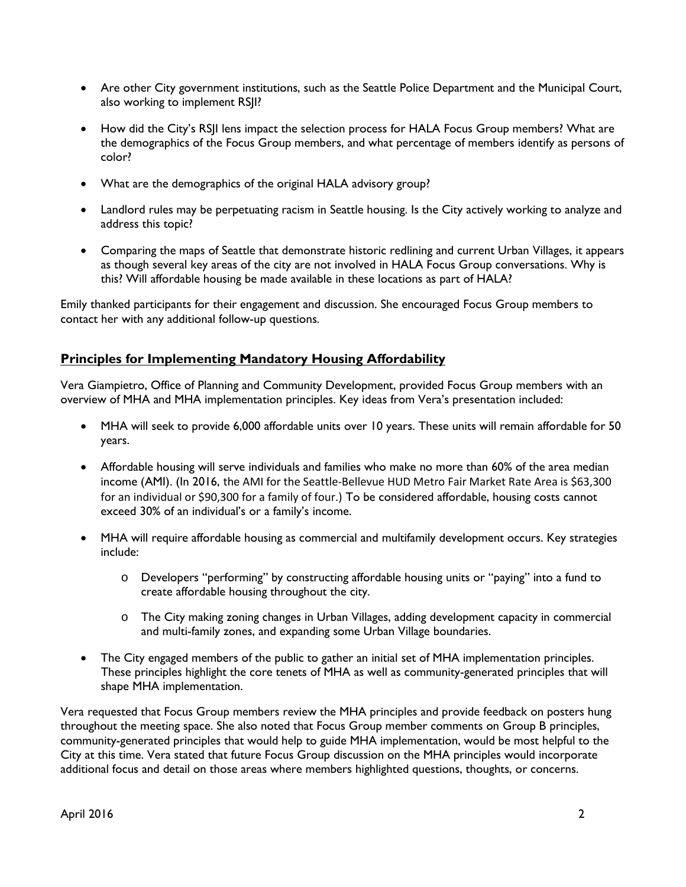- Are other City government institutions, such as the Seattle Police Department and the Municipal Court, also working to implement RSJI?
- How did the City's RSJI lens impact the selection process for HALA Focus Group members? What are the demographics of the Focus Group members, and what percentage of members identify as persons of color?
- What are the demographics of the original HALA advisory group?
- Landlord rules may be perpetuating racism in Seattle housing. Is the City actively working to analyze and address this topic?
- Comparing the maps of Seattle that demonstrate historic redlining and current Urban Villages, it appears as though several key areas of the city are not involved in HALA Focus Group conversations. Why is this? Will affordable housing be made available in these locations as part of HALA?

Emily thanked participants for their engagement and discussion. She encouraged Focus Group members to contact her with any additional follow-up questions.

# **Principles for Implementing Mandatory Housing Affordability**

Vera Giampietro, Office of Planning and Community Development, provided Focus Group members with an overview of MHA and MHA implementation principles. Key ideas from Vera's presentation included:

- MHA will seek to provide 6,000 affordable units over 10 years. These units will remain affordable for 50 years.
- Affordable housing will serve individuals and families who make no more than 60% of the area median income (AMI). (In 2016, the AMI for the Seattle-Bellevue HUD Metro Fair Market Rate Area is \$63,300 for an individual or \$90,300 for a family of four.) To be considered affordable, housing costs cannot exceed 30% of an individual's or a family's income.
- MHA will require affordable housing as commercial and multifamily development occurs. Key strategies include:
	- o Developers "performing" by constructing affordable housing units or "paying" into a fund to create affordable housing throughout the city.
	- o The City making zoning changes in Urban Villages, adding development capacity in commercial and multi-family zones, and expanding some Urban Village boundaries.
- The City engaged members of the public to gather an initial set of MHA implementation principles. These principles highlight the core tenets of MHA as well as community-generated principles that will shape MHA implementation.

Vera requested that Focus Group members review the MHA principles and provide feedback on posters hung throughout the meeting space. She also noted that Focus Group member comments on Group B principles, community-generated principles that would help to guide MHA implementation, would be most helpful to the City at this time. Vera stated that future Focus Group discussion on the MHA principles would incorporate additional focus and detail on those areas where members highlighted questions, thoughts, or concerns.